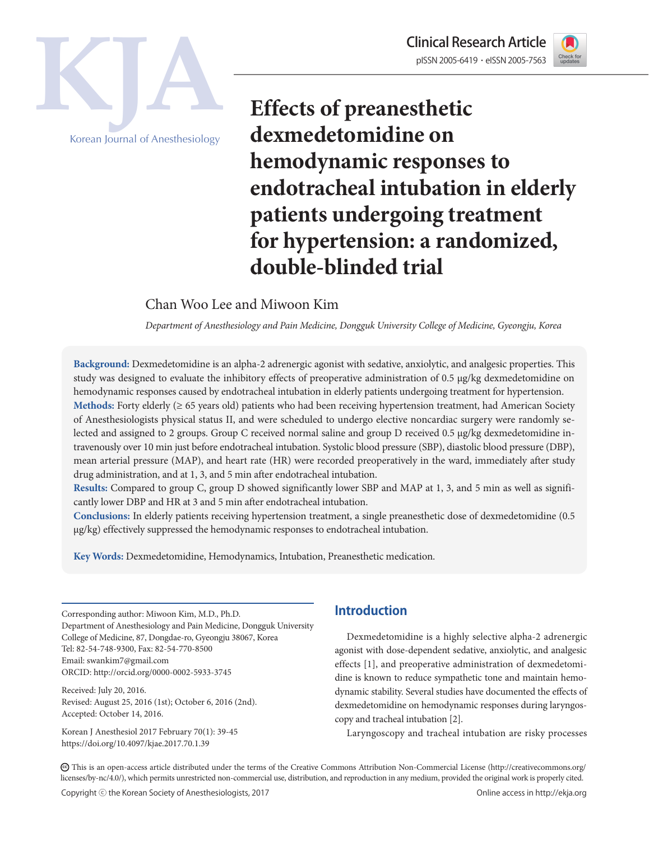



Korean Journal of Anesthesiology

**Effects of preanesthetic dexmedetomidine on hemodynamic responses to endotracheal intubation in elderly patients undergoing treatment for hypertension: a randomized, double-blinded trial**

Chan Woo Lee and Miwoon Kim

*Department of Anesthesiology and Pain Medicine, Dongguk University College of Medicine, Gyeongju, Korea*

**Background:** Dexmedetomidine is an alpha-2 adrenergic agonist with sedative, anxiolytic, and analgesic properties. This study was designed to evaluate the inhibitory effects of preoperative administration of 0.5 μg/kg dexmedetomidine on hemodynamic responses caused by endotracheal intubation in elderly patients undergoing treatment for hypertension. **Methods:** Forty elderly (≥ 65 years old) patients who had been receiving hypertension treatment, had American Society of Anesthesiologists physical status II, and were scheduled to undergo elective noncardiac surgery were randomly selected and assigned to 2 groups. Group C received normal saline and group D received 0.5 μg/kg dexmedetomidine intravenously over 10 min just before endotracheal intubation. Systolic blood pressure (SBP), diastolic blood pressure (DBP), mean arterial pressure (MAP), and heart rate (HR) were recorded preoperatively in the ward, immediately after study drug administration, and at 1, 3, and 5 min after endotracheal intubation.

**Results:** Compared to group C, group D showed significantly lower SBP and MAP at 1, 3, and 5 min as well as significantly lower DBP and HR at 3 and 5 min after endotracheal intubation.

**Conclusions:** In elderly patients receiving hypertension treatment, a single preanesthetic dose of dexmedetomidine (0.5 μg/kg) effectively suppressed the hemodynamic responses to endotracheal intubation.

**Key Words:** Dexmedetomidine, Hemodynamics, Intubation, Preanesthetic medication.

Corresponding author: Miwoon Kim, M.D., Ph.D. Department of Anesthesiology and Pain Medicine, Dongguk University College of Medicine, 87, Dongdae-ro, Gyeongju 38067, Korea Tel: 82-54-748-9300, Fax: 82-54-770-8500 Email: swankim7@gmail.com ORCID: http://orcid.org/0000-0002-5933-3745

Received: July 20, 2016. Revised: August 25, 2016 (1st); October 6, 2016 (2nd). Accepted: October 14, 2016.

Korean J Anesthesiol 2017 February 70(1): 39-45 https://doi.org/10.4097/kjae.2017.70.1.39

# **Introduction**

Dexmedetomidine is a highly selective alpha-2 adrenergic agonist with dose-dependent sedative, anxiolytic, and analgesic effects [1], and preoperative administration of dexmedetomidine is known to reduce sympathetic tone and maintain hemodynamic stability. Several studies have documented the effects of dexmedetomidine on hemodynamic responses during laryngoscopy and tracheal intubation [2].

Laryngoscopy and tracheal intubation are risky processes

CC This is an open-access article distributed under the terms of the Creative Commons Attribution Non-Commercial License (http://creativecommons.org/ licenses/by-nc/4.0/), which permits unrestricted non-commercial use, distribution, and reproduction in any medium, provided the original work is properly cited.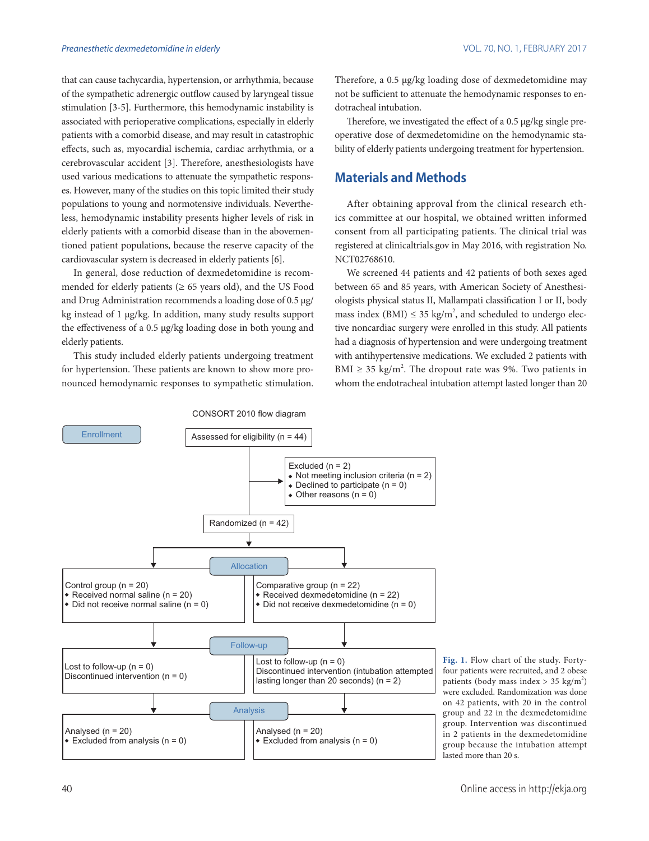that can cause tachycardia, hypertension, or arrhythmia, because of the sympathetic adrenergic outflow caused by laryngeal tissue stimulation [3-5]. Furthermore, this hemodynamic instability is associated with perioperative complications, especially in elderly patients with a comorbid disease, and may result in catastrophic effects, such as, myocardial ischemia, cardiac arrhythmia, or a cerebrovascular accident [3]. Therefore, anesthesiologists have used various medications to attenuate the sympathetic responses. However, many of the studies on this topic limited their study populations to young and normotensive individuals. Nevertheless, hemodynamic instability presents higher levels of risk in elderly patients with a comorbid disease than in the abovementioned patient populations, because the reserve capacity of the cardiovascular system is decreased in elderly patients [6].

In general, dose reduction of dexmedetomidine is recommended for elderly patients ( $\geq 65$  years old), and the US Food and Drug Administration recommends a loading dose of 0.5 μg/ kg instead of 1 μg/kg. In addition, many study results support the effectiveness of a 0.5 μg/kg loading dose in both young and elderly patients.

This study included elderly patients undergoing treatment for hypertension. These patients are known to show more pronounced hemodynamic responses to sympathetic stimulation. Therefore, a 0.5 μg/kg loading dose of dexmedetomidine may not be sufficient to attenuate the hemodynamic responses to endotracheal intubation.

Therefore, we investigated the effect of a 0.5 μg/kg single preoperative dose of dexmedetomidine on the hemodynamic stability of elderly patients undergoing treatment for hypertension.

### **Materials and Methods**

After obtaining approval from the clinical research ethics committee at our hospital, we obtained written informed consent from all participating patients. The clinical trial was registered at clinicaltrials.gov in May 2016, with registration No. NCT02768610.

We screened 44 patients and 42 patients of both sexes aged between 65 and 85 years, with American Society of Anesthesiologists physical status II, Mallampati classification I or II, body mass index (BMI)  $\leq$  35 kg/m<sup>2</sup>, and scheduled to undergo elective noncardiac surgery were enrolled in this study. All patients had a diagnosis of hypertension and were undergoing treatment with antihypertensive medications. We excluded 2 patients with BMI  $\geq$  35 kg/m<sup>2</sup>. The dropout rate was 9%. Two patients in whom the endotracheal intubation attempt lasted longer than 20



CONSORT 2010 flow diagram

**Fig. 1.** Flow chart of the study. Fortyfour patients were recruited, and 2 obese patients (body mass index  $> 35 \text{ kg/m}^2$ ) were excluded. Randomization was done on 42 patients, with 20 in the control group and 22 in the dexmedetomidine group. Intervention was discontinued in 2 patients in the dexmedetomidine group because the intubation attempt lasted more than 20 s.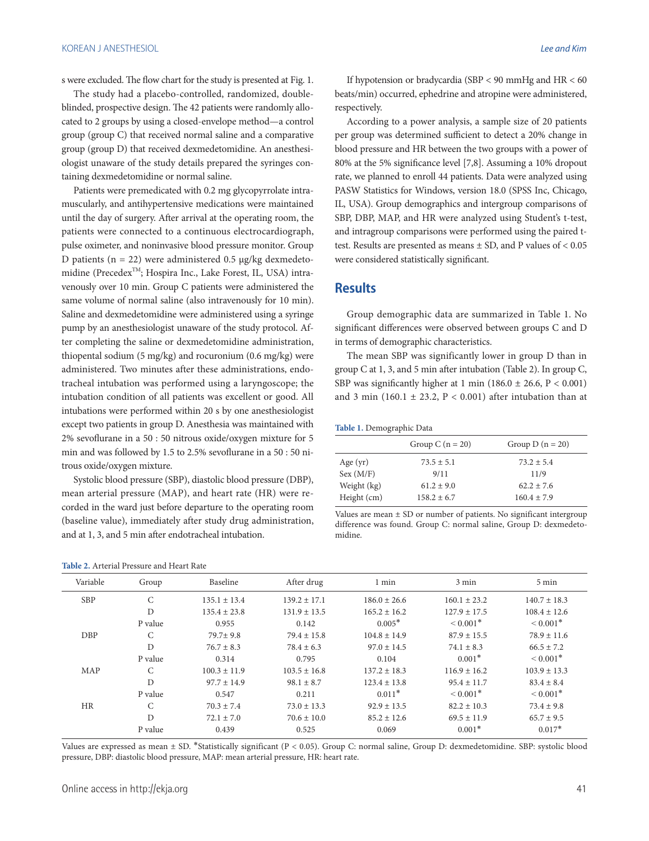s were excluded. The flow chart for the study is presented at Fig. 1.

The study had a placebo-controlled, randomized, doubleblinded, prospective design. The 42 patients were randomly allocated to 2 groups by using a closed-envelope method—a control group (group C) that received normal saline and a comparative group (group D) that received dexmedetomidine. An anesthesiologist unaware of the study details prepared the syringes containing dexmedetomidine or normal saline.

Patients were premedicated with 0.2 mg glycopyrrolate intramuscularly, and antihypertensive medications were maintained until the day of surgery. After arrival at the operating room, the patients were connected to a continuous electrocardiograph, pulse oximeter, and noninvasive blood pressure monitor. Group D patients ( $n = 22$ ) were administered 0.5 μg/kg dexmedetomidine (Precedex<sup>TM</sup>; Hospira Inc., Lake Forest, IL, USA) intravenously over 10 min. Group C patients were administered the same volume of normal saline (also intravenously for 10 min). Saline and dexmedetomidine were administered using a syringe pump by an anesthesiologist unaware of the study protocol. After completing the saline or dexmedetomidine administration, thiopental sodium (5 mg/kg) and rocuronium (0.6 mg/kg) were administered. Two minutes after these administrations, endotracheal intubation was performed using a laryngoscope; the intubation condition of all patients was excellent or good. All intubations were performed within 20 s by one anesthesiologist except two patients in group D. Anesthesia was maintained with 2% sevoflurane in a 50 : 50 nitrous oxide/oxygen mixture for 5 min and was followed by 1.5 to 2.5% sevoflurane in a 50 : 50 nitrous oxide/oxygen mixture.

Systolic blood pressure (SBP), diastolic blood pressure (DBP), mean arterial pressure (MAP), and heart rate (HR) were recorded in the ward just before departure to the operating room (baseline value), immediately after study drug administration, and at 1, 3, and 5 min after endotracheal intubation.

#### **Table 2.** Arterial Pressure and Heart Rate

If hypotension or bradycardia (SBP < 90 mmHg and HR < 60 beats/min) occurred, ephedrine and atropine were administered, respectively.

According to a power analysis, a sample size of 20 patients per group was determined sufficient to detect a 20% change in blood pressure and HR between the two groups with a power of 80% at the 5% significance level [7,8]. Assuming a 10% dropout rate, we planned to enroll 44 patients. Data were analyzed using PASW Statistics for Windows, version 18.0 (SPSS Inc, Chicago, IL, USA). Group demographics and intergroup comparisons of SBP, DBP, MAP, and HR were analyzed using Student's t-test, and intragroup comparisons were performed using the paired ttest. Results are presented as means ± SD, and P values of < 0.05 were considered statistically significant.

## **Results**

Group demographic data are summarized in Table 1. No significant differences were observed between groups C and D in terms of demographic characteristics.

The mean SBP was significantly lower in group D than in group C at 1, 3, and 5 min after intubation (Table 2). In group C, SBP was significantly higher at 1 min (186.0  $\pm$  26.6, P < 0.001) and 3 min (160.1  $\pm$  23.2, P < 0.001) after intubation than at

|             | Group C $(n = 20)$ | Group D $(n = 20)$ |
|-------------|--------------------|--------------------|
| Age $(yr)$  | $73.5 \pm 5.1$     | $73.2 \pm 5.4$     |
| Sex (M/F)   | 9/11               | 11/9               |
| Weight (kg) | $61.2 \pm 9.0$     | $62.2 + 7.6$       |
| Height (cm) | $158.2 \pm 6.7$    | $160.4 \pm 7.9$    |

Values are mean  $\pm$  SD or number of patients. No significant intergroup difference was found. Group C: normal saline, Group D: dexmedetomidine.

| Variable   | Group         | Baseline         | After drug       | 1 min            | 3 min            | $5 \text{ min}$  |
|------------|---------------|------------------|------------------|------------------|------------------|------------------|
| <b>SBP</b> | C             | $135.1 \pm 13.4$ | $139.2 \pm 17.1$ | $186.0 \pm 26.6$ | $160.1 \pm 23.2$ | $140.7 \pm 18.3$ |
|            | D             | $135.4 \pm 23.8$ | $131.9 \pm 13.5$ | $165.2 \pm 16.2$ | $127.9 \pm 17.5$ | $108.4 \pm 12.6$ |
|            | P value       | 0.955            | 0.142            | $0.005*$         | $\leq 0.001*$    | $\leq 0.001*$    |
| <b>DBP</b> | C             | $79.7 + 9.8$     | $79.4 \pm 15.8$  | $104.8 \pm 14.9$ | $87.9 \pm 15.5$  | $78.9 \pm 11.6$  |
|            | D             | $76.7 + 8.3$     | $78.4 \pm 6.3$   | $97.0 \pm 14.5$  | $74.1 \pm 8.3$   | $66.5 \pm 7.2$   |
|            | P value       | 0.314            | 0.795            | 0.104            | $0.001*$         | $\leq 0.001*$    |
| MAP        | $\mathcal{C}$ | $100.3 \pm 11.9$ | $103.5 \pm 16.8$ | $137.2 \pm 18.3$ | $116.9 \pm 16.2$ | $103.9 \pm 13.3$ |
|            | D             | $97.7 \pm 14.9$  | $98.1 \pm 8.7$   | $123.4 \pm 13.8$ | $95.4 \pm 11.7$  | $83.4 \pm 8.4$   |
|            | P value       | 0.547            | 0.211            | $0.011*$         | $\leq 0.001*$    | $\leq 0.001*$    |
| HR         | $\mathcal{C}$ | $70.3 \pm 7.4$   | $73.0 \pm 13.3$  | $92.9 \pm 13.5$  | $82.2 \pm 10.3$  | $73.4 \pm 9.8$   |
|            | D             | $72.1 \pm 7.0$   | $70.6 \pm 10.0$  | $85.2 \pm 12.6$  | $69.5 \pm 11.9$  | $65.7 \pm 9.5$   |
|            | P value       | 0.439            | 0.525            | 0.069            | $0.001*$         | $0.017*$         |

Values are expressed as mean ± SD. \*Statistically significant (P < 0.05). Group C: normal saline, Group D: dexmedetomidine. SBP: systolic blood pressure, DBP: diastolic blood pressure, MAP: mean arterial pressure, HR: heart rate.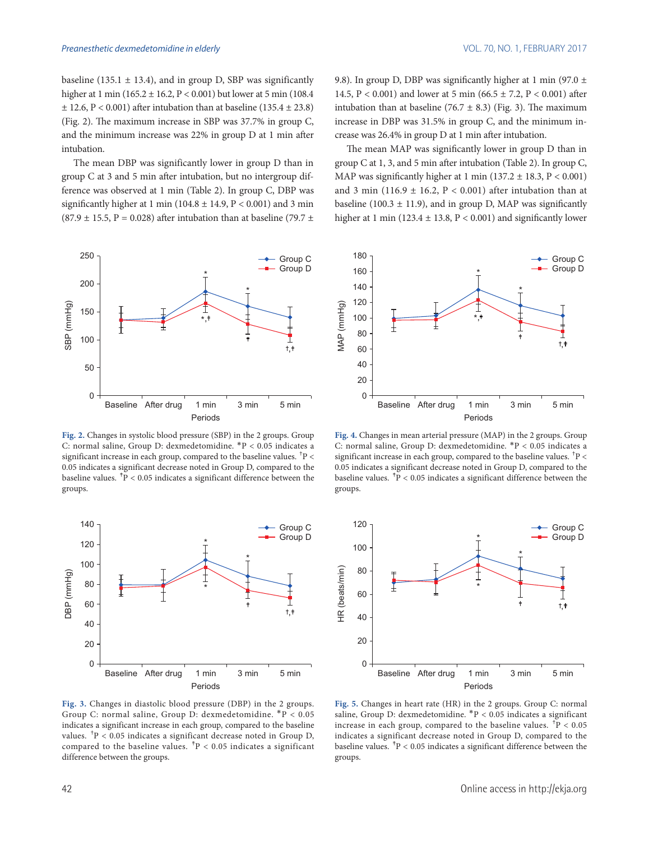baseline (135.1  $\pm$  13.4), and in group D, SBP was significantly higher at 1 min (165.2 ± 16.2, P < 0.001) but lower at 5 min (108.4  $\pm$  12.6, P < 0.001) after intubation than at baseline (135.4  $\pm$  23.8) (Fig. 2). The maximum increase in SBP was 37.7% in group C, and the minimum increase was 22% in group D at 1 min after intubation.

The mean DBP was significantly lower in group D than in group C at 3 and 5 min after intubation, but no intergroup difference was observed at 1 min (Table 2). In group C, DBP was significantly higher at 1 min (104.8  $\pm$  14.9, P < 0.001) and 3 min  $(87.9 \pm 15.5, P = 0.028)$  after intubation than at baseline (79.7 ±



**Fig. 2.** Changes in systolic blood pressure (SBP) in the 2 groups. Group C: normal saline, Group D: dexmedetomidine. \*P < 0.05 indicates a significant increase in each group, compared to the baseline values.  $P \lt \frac{P}{P}$ 0.05 indicates a significant decrease noted in Group D, compared to the baseline values.  $\bar{P}$  < 0.05 indicates a significant difference between the groups.



**Fig. 3.** Changes in diastolic blood pressure (DBP) in the 2 groups. Group C: normal saline, Group D: dexmedetomidine. \*P < 0.05 indicates a significant increase in each group, compared to the baseline values.  ${}^{\dagger}P$  < 0.05 indicates a significant decrease noted in Group D, compared to the baseline values.  $\sp{\dagger}P$  < 0.05 indicates a significant difference between the groups.

9.8). In group D, DBP was significantly higher at 1 min (97.0  $\pm$ 14.5, P < 0.001) and lower at 5 min (66.5 ± 7.2, P < 0.001) after intubation than at baseline (76.7  $\pm$  8.3) (Fig. 3). The maximum increase in DBP was 31.5% in group C, and the minimum increase was 26.4% in group D at 1 min after intubation.

The mean MAP was significantly lower in group D than in group C at 1, 3, and 5 min after intubation (Table 2). In group C, MAP was significantly higher at 1 min  $(137.2 \pm 18.3, P < 0.001)$ and 3 min (116.9  $\pm$  16.2, P < 0.001) after intubation than at baseline (100.3  $\pm$  11.9), and in group D, MAP was significantly higher at 1 min (123.4  $\pm$  13.8, P < 0.001) and significantly lower



**Fig. 4.** Changes in mean arterial pressure (MAP) in the 2 groups. Group C: normal saline, Group D: dexmedetomidine. \*P < 0.05 indicates a significant increase in each group, compared to the baseline values.  $P^{\dagger}$  < 0.05 indicates a significant decrease noted in Group D, compared to the baseline values.  $\overline{P}$  < 0.05 indicates a significant difference between the groups.



**Fig. 5.** Changes in heart rate (HR) in the 2 groups. Group C: normal saline, Group D: dexmedetomidine. \*P < 0.05 indicates a significant increase in each group, compared to the baseline values.  $P < 0.05$ indicates a significant decrease noted in Group D, compared to the baseline values.  $\rm^{\ddagger}P$  < 0.05 indicates a significant difference between the groups.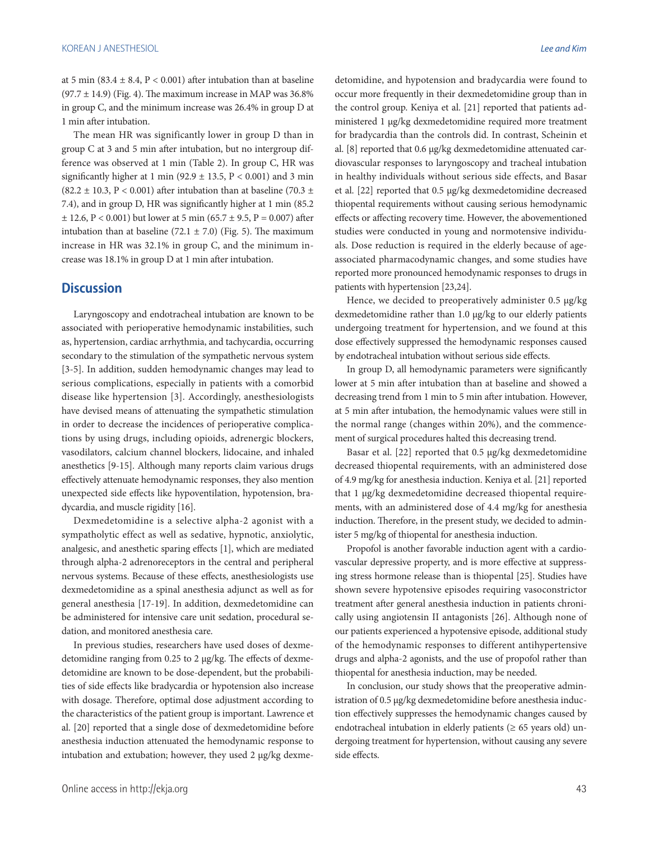at 5 min (83.4  $\pm$  8.4, P < 0.001) after intubation than at baseline  $(97.7 \pm 14.9)$  (Fig. 4). The maximum increase in MAP was 36.8% in group C, and the minimum increase was 26.4% in group D at 1 min after intubation.

The mean HR was significantly lower in group D than in group C at 3 and 5 min after intubation, but no intergroup difference was observed at 1 min (Table 2). In group C, HR was significantly higher at 1 min (92.9  $\pm$  13.5, P < 0.001) and 3 min (82.2  $\pm$  10.3, P < 0.001) after intubation than at baseline (70.3  $\pm$ 7.4), and in group D, HR was significantly higher at 1 min (85.2  $\pm$  12.6, P < 0.001) but lower at 5 min (65.7  $\pm$  9.5, P = 0.007) after intubation than at baseline (72.1  $\pm$  7.0) (Fig. 5). The maximum increase in HR was 32.1% in group C, and the minimum increase was 18.1% in group D at 1 min after intubation.

### **Discussion**

Laryngoscopy and endotracheal intubation are known to be associated with perioperative hemodynamic instabilities, such as, hypertension, cardiac arrhythmia, and tachycardia, occurring secondary to the stimulation of the sympathetic nervous system [3-5]. In addition, sudden hemodynamic changes may lead to serious complications, especially in patients with a comorbid disease like hypertension [3]. Accordingly, anesthesiologists have devised means of attenuating the sympathetic stimulation in order to decrease the incidences of perioperative complications by using drugs, including opioids, adrenergic blockers, vasodilators, calcium channel blockers, lidocaine, and inhaled anesthetics [9-15]. Although many reports claim various drugs effectively attenuate hemodynamic responses, they also mention unexpected side effects like hypoventilation, hypotension, bradycardia, and muscle rigidity [16].

Dexmedetomidine is a selective alpha-2 agonist with a sympatholytic effect as well as sedative, hypnotic, anxiolytic, analgesic, and anesthetic sparing effects [1], which are mediated through alpha-2 adrenoreceptors in the central and peripheral nervous systems. Because of these effects, anesthesiologists use dexmedetomidine as a spinal anesthesia adjunct as well as for general anesthesia [17-19]. In addition, dexmedetomidine can be administered for intensive care unit sedation, procedural sedation, and monitored anesthesia care.

In previous studies, researchers have used doses of dexmedetomidine ranging from 0.25 to 2 μg/kg. The effects of dexmedetomidine are known to be dose-dependent, but the probabilities of side effects like bradycardia or hypotension also increase with dosage. Therefore, optimal dose adjustment according to the characteristics of the patient group is important. Lawrence et al. [20] reported that a single dose of dexmedetomidine before anesthesia induction attenuated the hemodynamic response to intubation and extubation; however, they used 2 μg/kg dexmedetomidine, and hypotension and bradycardia were found to occur more frequently in their dexmedetomidine group than in the control group. Keniya et al. [21] reported that patients administered 1 μg/kg dexmedetomidine required more treatment for bradycardia than the controls did. In contrast, Scheinin et al. [8] reported that 0.6 μg/kg dexmedetomidine attenuated cardiovascular responses to laryngoscopy and tracheal intubation in healthy individuals without serious side effects, and Basar et al. [22] reported that 0.5 μg/kg dexmedetomidine decreased thiopental requirements without causing serious hemodynamic effects or affecting recovery time. However, the abovementioned studies were conducted in young and normotensive individuals. Dose reduction is required in the elderly because of ageassociated pharmacodynamic changes, and some studies have reported more pronounced hemodynamic responses to drugs in patients with hypertension [23,24].

Hence, we decided to preoperatively administer 0.5 μg/kg dexmedetomidine rather than 1.0 μg/kg to our elderly patients undergoing treatment for hypertension, and we found at this dose effectively suppressed the hemodynamic responses caused by endotracheal intubation without serious side effects.

In group D, all hemodynamic parameters were significantly lower at 5 min after intubation than at baseline and showed a decreasing trend from 1 min to 5 min after intubation. However, at 5 min after intubation, the hemodynamic values were still in the normal range (changes within 20%), and the commencement of surgical procedures halted this decreasing trend.

Basar et al. [22] reported that 0.5 μg/kg dexmedetomidine decreased thiopental requirements, with an administered dose of 4.9 mg/kg for anesthesia induction. Keniya et al. [21] reported that 1 μg/kg dexmedetomidine decreased thiopental requirements, with an administered dose of 4.4 mg/kg for anesthesia induction. Therefore, in the present study, we decided to administer 5 mg/kg of thiopental for anesthesia induction.

Propofol is another favorable induction agent with a cardiovascular depressive property, and is more effective at suppressing stress hormone release than is thiopental [25]. Studies have shown severe hypotensive episodes requiring vasoconstrictor treatment after general anesthesia induction in patients chronically using angiotensin II antagonists [26]. Although none of our patients experienced a hypotensive episode, additional study of the hemodynamic responses to different antihypertensive drugs and alpha-2 agonists, and the use of propofol rather than thiopental for anesthesia induction, may be needed.

In conclusion, our study shows that the preoperative administration of 0.5 μg/kg dexmedetomidine before anesthesia induction effectively suppresses the hemodynamic changes caused by endotracheal intubation in elderly patients ( $\geq 65$  years old) undergoing treatment for hypertension, without causing any severe side effects.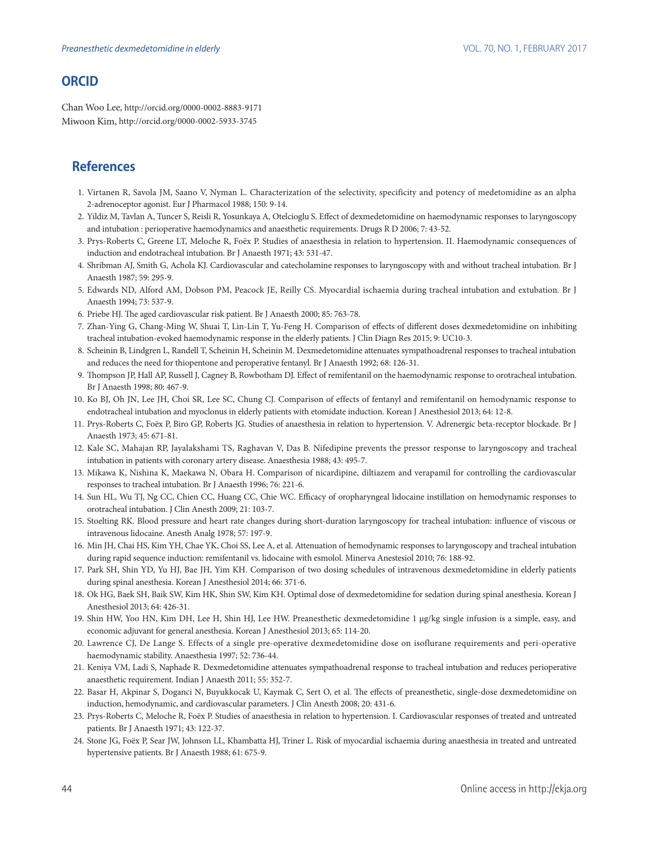## **ORCID**

Chan Woo Lee, http://orcid.org/0000-0002-8883-9171 Miwoon Kim, http://orcid.org/0000-0002-5933-3745

# **References**

- 1. Virtanen R, Savola JM, Saano V, Nyman L. Characterization of the selectivity, specificity and potency of medetomidine as an alpha 2-adrenoceptor agonist. Eur J Pharmacol 1988; 150: 9-14.
- 2. Yildiz M, Tavlan A, Tuncer S, Reisli R, Yosunkaya A, Otelcioglu S. Effect of dexmedetomidine on haemodynamic responses to laryngoscopy and intubation : perioperative haemodynamics and anaesthetic requirements. Drugs R D 2006; 7: 43-52.
- 3. Prys-Roberts C, Greene LT, Meloche R, Foëx P. Studies of anaesthesia in relation to hypertension. II. Haemodynamic consequences of induction and endotracheal intubation. Br J Anaesth 1971; 43: 531-47.
- 4. Shribman AJ, Smith G, Achola KJ. Cardiovascular and catecholamine responses to laryngoscopy with and without tracheal intubation. Br J Anaesth 1987; 59: 295-9.
- 5. Edwards ND, Alford AM, Dobson PM, Peacock JE, Reilly CS. Myocardial ischaemia during tracheal intubation and extubation. Br J Anaesth 1994; 73: 537-9.
- 6. Priebe HJ. The aged cardiovascular risk patient. Br J Anaesth 2000; 85: 763-78.
- 7. Zhan-Ying G, Chang-Ming W, Shuai T, Lin-Lin T, Yu-Feng H. Comparison of effects of different doses dexmedetomidine on inhibiting tracheal intubation-evoked haemodynamic response in the elderly patients. J Clin Diagn Res 2015; 9: UC10-3.
- 8. Scheinin B, Lindgren L, Randell T, Scheinin H, Scheinin M. Dexmedetomidine attenuates sympathoadrenal responses to tracheal intubation and reduces the need for thiopentone and peroperative fentanyl. Br J Anaesth 1992; 68: 126-31.
- 9. Thompson JP, Hall AP, Russell J, Cagney B, Rowbotham DJ. Effect of remifentanil on the haemodynamic response to orotracheal intubation. Br J Anaesth 1998; 80: 467-9.
- 10. Ko BJ, Oh JN, Lee JH, Choi SR, Lee SC, Chung CJ. Comparison of effects of fentanyl and remifentanil on hemodynamic response to endotracheal intubation and myoclonus in elderly patients with etomidate induction. Korean J Anesthesiol 2013; 64: 12-8.
- 11. Prys-Roberts C, Foëx P, Biro GP, Roberts JG. Studies of anaesthesia in relation to hypertension. V. Adrenergic beta-receptor blockade. Br J Anaesth 1973; 45: 671-81.
- 12. Kale SC, Mahajan RP, Jayalakshami TS, Raghavan V, Das B. Nifedipine prevents the pressor response to laryngoscopy and tracheal intubation in patients with coronary artery disease. Anaesthesia 1988; 43: 495-7.
- 13. Mikawa K, Nishina K, Maekawa N, Obara H. Comparison of nicardipine, diltiazem and verapamil for controlling the cardiovascular responses to tracheal intubation. Br J Anaesth 1996; 76: 221-6.
- 14. Sun HL, Wu TJ, Ng CC, Chien CC, Huang CC, Chie WC. Efficacy of oropharyngeal lidocaine instillation on hemodynamic responses to orotracheal intubation. J Clin Anesth 2009; 21: 103-7.
- 15. Stoelting RK. Blood pressure and heart rate changes during short-duration laryngoscopy for tracheal intubation: influence of viscous or intravenous lidocaine. Anesth Analg 1978; 57: 197-9.
- 16. Min JH, Chai HS, Kim YH, Chae YK, Choi SS, Lee A, et al. Attenuation of hemodynamic responses to laryngoscopy and tracheal intubation during rapid sequence induction: remifentanil vs. lidocaine with esmolol. Minerva Anestesiol 2010; 76: 188-92.
- 17. Park SH, Shin YD, Yu HJ, Bae JH, Yim KH. Comparison of two dosing schedules of intravenous dexmedetomidine in elderly patients during spinal anesthesia. Korean J Anesthesiol 2014; 66: 371-6.
- 18. Ok HG, Baek SH, Baik SW, Kim HK, Shin SW, Kim KH. Optimal dose of dexmedetomidine for sedation during spinal anesthesia. Korean J Anesthesiol 2013; 64: 426-31.
- 19. Shin HW, Yoo HN, Kim DH, Lee H, Shin HJ, Lee HW. Preanesthetic dexmedetomidine 1 µg/kg single infusion is a simple, easy, and economic adjuvant for general anesthesia. Korean J Anesthesiol 2013; 65: 114-20.
- 20. Lawrence CJ, De Lange S. Effects of a single pre-operative dexmedetomidine dose on isoflurane requirements and peri-operative haemodynamic stability. Anaesthesia 1997; 52: 736-44.
- 21. Keniya VM, Ladi S, Naphade R. Dexmedetomidine attenuates sympathoadrenal response to tracheal intubation and reduces perioperative anaesthetic requirement. Indian J Anaesth 2011; 55: 352-7.
- 22. Basar H, Akpinar S, Doganci N, Buyukkocak U, Kaymak C, Sert O, et al. The effects of preanesthetic, single-dose dexmedetomidine on induction, hemodynamic, and cardiovascular parameters. J Clin Anesth 2008; 20: 431-6.
- 23. Prys-Roberts C, Meloche R, Foëx P. Studies of anaesthesia in relation to hypertension. I. Cardiovascular responses of treated and untreated patients. Br J Anaesth 1971; 43: 122-37.
- 24. Stone JG, Foëx P, Sear JW, Johnson LL, Khambatta HJ, Triner L. Risk of myocardial ischaemia during anaesthesia in treated and untreated hypertensive patients. Br J Anaesth 1988; 61: 675-9.